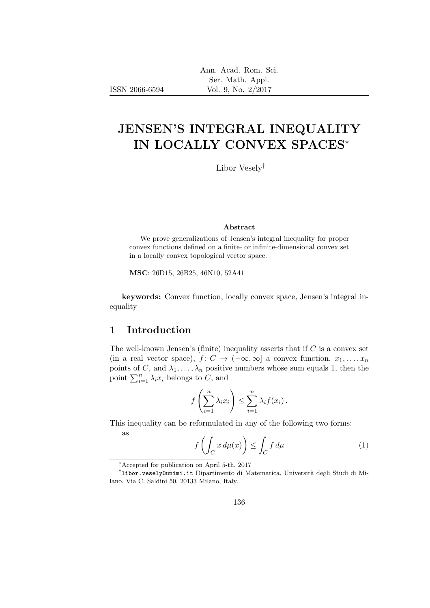# JENSEN'S INTEGRAL INEQUALITY IN LOCALLY CONVEX SPACES<sup>∗</sup>

Libor Vesely†

#### Abstract

We prove generalizations of Jensen's integral inequality for proper convex functions defined on a finite- or infinite-dimensional convex set in a locally convex topological vector space.

MSC: 26D15, 26B25, 46N10, 52A41

keywords: Convex function, locally convex space, Jensen's integral inequality

### 1 Introduction

The well-known Jensen's (finite) inequality asserts that if  $C$  is a convex set (in a real vector space),  $f: C \to (-\infty, \infty]$  a convex function,  $x_1, \ldots, x_n$ points of C, and  $\lambda_1, \ldots, \lambda_n$  positive numbers whose sum equals 1, then the point  $\sum_{i=1}^n \lambda_i x_i$  belongs to C, and

$$
f\left(\sum_{i=1}^n \lambda_i x_i\right) \leq \sum_{i=1}^n \lambda_i f(x_i).
$$

This inequality can be reformulated in any of the following two forms: as

$$
f\left(\int_C x \, d\mu(x)\right) \le \int_C f \, d\mu \tag{1}
$$

<sup>∗</sup>Accepted for publication on April 5-th, 2017

<sup>&</sup>lt;sup>†</sup>1ibor.vesely@unimi.it Dipartimento di Matematica, Università degli Studi di Milano, Via C. Saldini 50, 20133 Milano, Italy.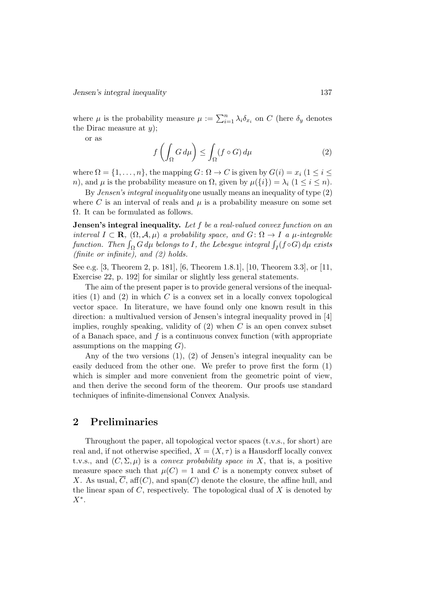where  $\mu$  is the probability measure  $\mu := \sum_{i=1}^n \lambda_i \delta_{x_i}$  on C (here  $\delta_y$  denotes the Dirac measure at  $y$ );

or as

$$
f\left(\int_{\Omega} G \, d\mu\right) \le \int_{\Omega} (f \circ G) \, d\mu \tag{2}
$$

where  $\Omega = \{1, \ldots, n\}$ , the mapping  $G: \Omega \to C$  is given by  $G(i) = x_i$  ( $1 \le i \le n$ ) n), and  $\mu$  is the probability measure on  $\Omega$ , given by  $\mu({i}) = \lambda_i (1 \le i \le n)$ .

By Jensen's integral inequality one usually means an inequality of type (2) where C is an interval of reals and  $\mu$  is a probability measure on some set  $\Omega$ . It can be formulated as follows.

**Jensen's integral inequality.** Let f be a real-valued convex function on an interval  $I \subset \mathbf{R}$ ,  $(\Omega, \mathcal{A}, \mu)$  a probability space, and  $G: \Omega \to I$  a  $\mu$ -integrable function. Then  $\int_{\Omega} G \, d\mu$  belongs to I, the Lebesgue integral  $\int_{I} (f \circ G) \, d\mu$  exists (finite or infinite), and (2) holds.

See e.g. [3, Theorem 2, p. 181], [6, Theorem 1.8.1], [10, Theorem 3.3], or [11, Exercise 22, p. 192] for similar or slightly less general statements.

The aim of the present paper is to provide general versions of the inequalities  $(1)$  and  $(2)$  in which C is a convex set in a locally convex topological vector space. In literature, we have found only one known result in this direction: a multivalued version of Jensen's integral inequality proved in [4] implies, roughly speaking, validity of  $(2)$  when C is an open convex subset of a Banach space, and  $f$  is a continuous convex function (with appropriate assumptions on the mapping  $G$ .

Any of the two versions (1), (2) of Jensen's integral inequality can be easily deduced from the other one. We prefer to prove first the form (1) which is simpler and more convenient from the geometric point of view, and then derive the second form of the theorem. Our proofs use standard techniques of infinite-dimensional Convex Analysis.

## 2 Preliminaries

Throughout the paper, all topological vector spaces (t.v.s., for short) are real and, if not otherwise specified,  $X = (X, \tau)$  is a Hausdorff locally convex t.v.s., and  $(C, \Sigma, \mu)$  is a *convex probability space in X*, that is, a positive measure space such that  $\mu(C) = 1$  and C is a nonempty convex subset of X. As usual,  $\overline{C}$ , aff $(C)$ , and span $(C)$  denote the closure, the affine hull, and the linear span of  $C$ , respectively. The topological dual of  $X$  is denoted by  $X^*$ .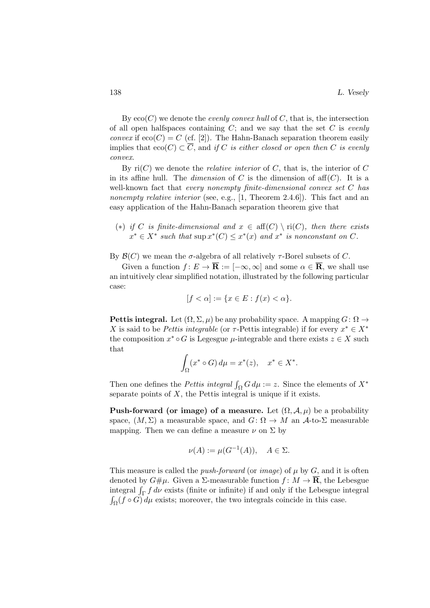By  $\text{eco}(C)$  we denote the *evenly convex hull* of C, that is, the intersection of all open halfspaces containing  $C$ ; and we say that the set  $C$  is evenly *convex* if  $e\text{co}(C) = C$  (cf. [2]). The Hahn-Banach separation theorem easily implies that  $\operatorname{eco}(C) \subset \overline{C}$ , and if C is either closed or open then C is evenly convex.

By  $ri(C)$  we denote the *relative interior* of C, that is, the interior of C in its affine hull. The *dimension* of C is the dimension of aff $(C)$ . It is a well-known fact that every nonempty finite-dimensional convex set C has nonempty relative interior (see, e.g., [1, Theorem 2.4.6]). This fact and an easy application of the Hahn-Banach separation theorem give that

(\*) if C is finite-dimensional and  $x \in \text{aff}(C) \setminus \text{ri}(C)$ , then there exists  $x^* \in X^*$  such that  $\sup x^*(C) \leq x^*(x)$  and  $x^*$  is nonconstant on C.

By  $\mathcal{B}(C)$  we mean the  $\sigma$ -algebra of all relatively  $\tau$ -Borel subsets of C.

Given a function  $f: E \to \overline{\mathbf{R}} := [-\infty, \infty]$  and some  $\alpha \in \overline{\mathbf{R}}$ , we shall use an intuitively clear simplified notation, illustrated by the following particular case:

$$
[f < \alpha] := \{ x \in E : f(x) < \alpha \}.
$$

Pettis integral. Let  $(\Omega, \Sigma, \mu)$  be any probability space. A mapping  $G: \Omega \to$ X is said to be Pettis integrable (or  $\tau$ -Pettis integrable) if for every  $x^* \in X^*$ the composition  $x^* \circ G$  is Legesgue  $\mu$ -integrable and there exists  $z \in X$  such that

$$
\int_{\Omega} (x^* \circ G) d\mu = x^*(z), \quad x^* \in X^*.
$$

Then one defines the *Pettis integral*  $\int_{\Omega} G d\mu := z$ . Since the elements of  $X^*$ separate points of  $X$ , the Pettis integral is unique if it exists.

**Push-forward (or image) of a measure.** Let  $(\Omega, \mathcal{A}, \mu)$  be a probability space,  $(M, \Sigma)$  a measurable space, and  $G: \Omega \to M$  an  $\mathcal{A}$ -to- $\Sigma$  measurable mapping. Then we can define a measure  $\nu$  on  $\Sigma$  by

$$
\nu(A) := \mu(G^{-1}(A)), \quad A \in \Sigma.
$$

This measure is called the *push-forward* (or *image*) of  $\mu$  by  $G$ , and it is often denoted by  $G\#\mu$ . Given a  $\Sigma$ -measurable function  $f: M \to \overline{\mathbf{R}}$ , the Lebesgue integral  $\int_{\Gamma} f \, d\nu$  exists (finite or infinite) if and only if the Lebesgue integral  $\int_{\Omega} (f \circ G) d\mu$  exists; moreover, the two integrals coincide in this case.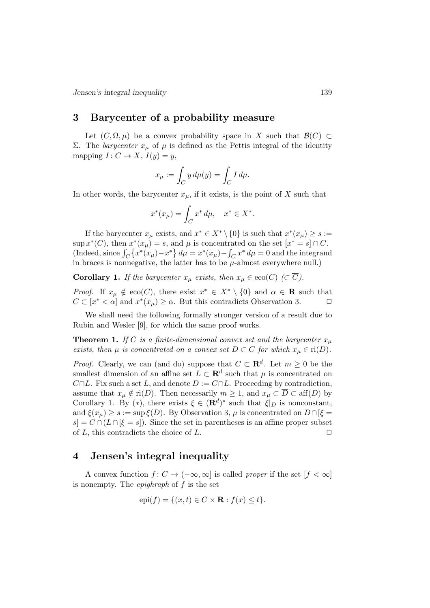Jensen's integral inequality 139

#### 3 Barycenter of a probability measure

Let  $(C, \Omega, \mu)$  be a convex probability space in X such that  $\mathcal{B}(C) \subset$ Σ. The *barycenter*  $x<sub>μ</sub>$  of  $μ$  is defined as the Pettis integral of the identity mapping  $I: C \to X$ ,  $I(y) = y$ ,

$$
x_{\mu} := \int_C y \, d\mu(y) = \int_C I \, d\mu.
$$

In other words, the barycenter  $x_{\mu}$ , if it exists, is the point of X such that

$$
x^*(x_\mu) = \int_C x^* \, d\mu, \quad x^* \in X^*.
$$

If the barycenter  $x_{\mu}$  exists, and  $x^* \in X^* \setminus \{0\}$  is such that  $x^*(x_{\mu}) \geq s :=$  $\sup x^*(C)$ , then  $x^*(x_\mu) = s$ , and  $\mu$  is concentrated on the set  $[x^* = s] \cap C$ . (Indeed, since  $\int_C \left\{ x^*(x_\mu) - x^* \right\} d\mu = x^*(x_\mu) - \int_C x^* d\mu = 0$  and the integrand in braces is nonnegative, the latter has to be  $\mu$ -almost everywhere null.)

**Corollary 1.** If the barycenter  $x_{\mu}$  exists, then  $x_{\mu} \in \text{eco}(C) \ (\subset \overline{C})$ .

*Proof.* If  $x_{\mu} \notin \text{eco}(C)$ , there exist  $x^* \in X^* \setminus \{0\}$  and  $\alpha \in \mathbb{R}$  such that  $C \subset [x^* \lt \alpha]$  and  $x^*(x_\mu) \ge \alpha$ . But this contradicts Observation 3.

We shall need the following formally stronger version of a result due to Rubin and Wesler [9], for which the same proof works.

**Theorem 1.** If C is a finite-dimensional convex set and the barycenter  $x_u$ exists, then  $\mu$  is concentrated on a convex set  $D \subset C$  for which  $x_{\mu} \in \text{ri}(D)$ .

*Proof.* Clearly, we can (and do) suppose that  $C \subset \mathbb{R}^d$ . Let  $m \geq 0$  be the smallest dimension of an affine set  $L \subset \mathbf{R}^d$  such that  $\mu$  is concentrated on  $C \cap L$ . Fix such a set L, and denote  $D := C \cap L$ . Proceeding by contradiction, assume that  $x_{\mu} \notin \text{ri}(D)$ . Then necessarily  $m \geq 1$ , and  $x_{\mu} \subset \overline{D} \subset \text{aff}(D)$  by Corollary 1. By (\*), there exists  $\xi \in (\mathbf{R}^d)^*$  such that  $\xi|_D$  is nonconstant, and  $\xi(x_\mu) \geq s := \sup \xi(D)$ . By Observation 3,  $\mu$  is concentrated on  $D \cap [\xi =$  $s = C \cap (L \cap [\xi = s])$ . Since the set in parentheses is an affine proper subset of  $L$ , this contradicts the choice of  $L$ .

#### 4 Jensen's integral inequality

A convex function  $f: C \to (-\infty, \infty]$  is called proper if the set  $[f < \infty]$ is nonempty. The *epighraph* of  $f$  is the set

$$
epi(f) = \{(x, t) \in C \times \mathbf{R} : f(x) \le t\}.
$$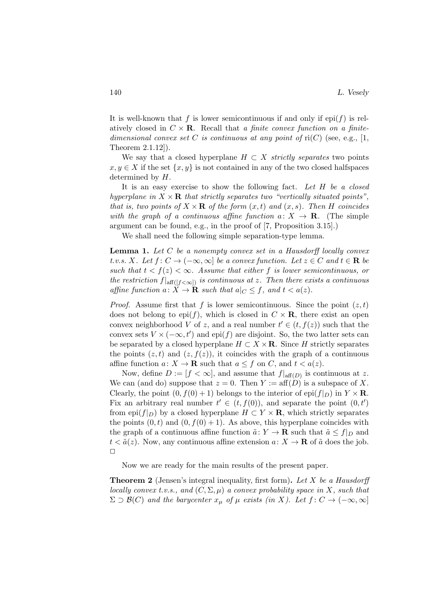It is well-known that f is lower semicontinuous if and only if epi(f) is relatively closed in  $C \times \mathbf{R}$ . Recall that a finite convex function on a finitedimensional convex set C is continuous at any point of  $ri(C)$  (see, e.g., [1, Theorem 2.1.12]).

We say that a closed hyperplane  $H \subset X$  strictly separates two points  $x, y \in X$  if the set  $\{x, y\}$  is not contained in any of the two closed halfspaces determined by H.

It is an easy exercise to show the following fact. Let  $H$  be a closed hyperplane in  $X \times \mathbf{R}$  that strictly separates two "vertically situated points", that is, two points of  $X \times \mathbf{R}$  of the form  $(x, t)$  and  $(x, s)$ . Then H coincides with the graph of a continuous affine function  $a: X \to \mathbf{R}$ . (The simple argument can be found, e.g., in the proof of [7, Proposition 3.15].)

We shall need the following simple separation-type lemma.

**Lemma 1.** Let  $C$  be a nonempty convex set in a Hausdorff locally convex t.v.s. X. Let  $f: C \to (-\infty, \infty]$  be a convex function. Let  $z \in C$  and  $t \in \mathbf{R}$  be such that  $t < f(z) < \infty$ . Assume that either f is lower semicontinuous, or the restriction  $f|_{\text{aff}([f<\infty])}$  is continuous at z. Then there exists a continuous affine function  $a: X \to \mathbf{R}$  such that  $a|_C \leq f$ , and  $t < a(z)$ .

*Proof.* Assume first that f is lower semicontinuous. Since the point  $(z, t)$ does not belong to epi(f), which is closed in  $C \times \mathbf{R}$ , there exist an open convex neighborhood V of z, and a real number  $t' \in (t, f(z))$  such that the convex sets  $V \times (-\infty, t')$  and epi(f) are disjoint. So, the two latter sets can be separated by a closed hyperplane  $H \subset X \times \mathbf{R}$ . Since H strictly separates the points  $(z, t)$  and  $(z, f(z))$ , it coincides with the graph of a continuous affine function  $a: X \to \mathbf{R}$  such that  $a \leq f$  on C, and  $t < a(z)$ .

Now, define  $D := [f < \infty]$ , and assume that  $f|_{\text{aff}(D)}$  is continuous at z. We can (and do) suppose that  $z = 0$ . Then  $Y := aff(D)$  is a subspace of X. Clearly, the point  $(0, f(0) + 1)$  belongs to the interior of epi $(f|_D)$  in  $Y \times \mathbf{R}$ . Fix an arbitrary real number  $t' \in (t, f(0))$ , and separate the point  $(0, t')$ from epi $(f|_D)$  by a closed hyperplane  $H \subset Y \times \mathbf{R}$ , which strictly separates the points  $(0, t)$  and  $(0, f(0) + 1)$ . As above, this hyperplane coincides with the graph of a continuous affine function  $\tilde{a}: Y \to \mathbf{R}$  such that  $\tilde{a} \leq f|_{D}$  and  $t < \tilde{a}(z)$ . Now, any continuous affine extension  $a: X \to \mathbf{R}$  of  $\tilde{a}$  does the job.  $\Box$ 

Now we are ready for the main results of the present paper.

**Theorem 2** (Jensen's integral inequality, first form). Let X be a Hausdorff locally convex t.v.s., and  $(C, \Sigma, \mu)$  a convex probability space in X, such that  $\Sigma \supset \mathcal{B}(C)$  and the barycenter  $x_{\mu}$  of  $\mu$  exists (in X). Let  $f: C \to (-\infty, \infty]$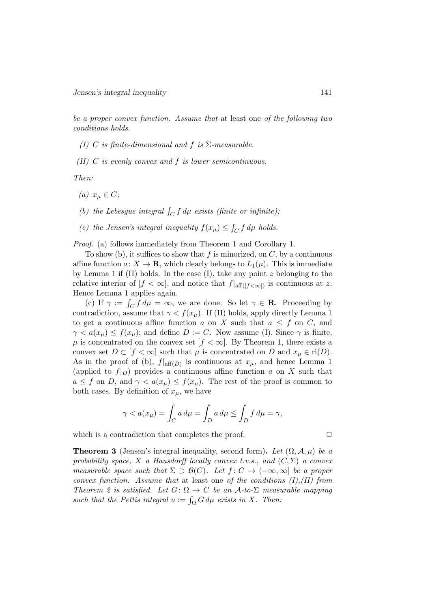be a proper convex function. Assume that at least one of the following two conditions holds.

- (I) C is finite-dimensional and f is  $\Sigma$ -measurable.
- (II)  $C$  is evenly convex and  $f$  is lower semicontinuous.

Then:

- (a)  $x_u \in C$ ;
- (b) the Lebesgue integral  $\int_C f d\mu$  exists (finite or infinite);
- (c) the Jensen's integral inequality  $f(x_\mu) \leq \int_C f d\mu$  holds.

Proof. (a) follows immediately from Theorem 1 and Corollary 1.

To show (b), it suffices to show that f is minorized, on  $C$ , by a continuous affine function  $a: X \to \mathbf{R}$ , which clearly belongs to  $L_1(\mu)$ . This is immediate by Lemma 1 if  $(II)$  holds. In the case  $(I)$ , take any point z belonging to the relative interior of  $[f < \infty]$ , and notice that  $f|_{\text{aff}([f < \infty])}$  is continuous at z. Hence Lemma 1 applies again.

(c) If  $\gamma := \int_C f d\mu = \infty$ , we are done. So let  $\gamma \in \mathbf{R}$ . Proceeding by contradiction, assume that  $\gamma < f(x_\mu)$ . If (II) holds, apply directly Lemma 1 to get a continuous affine function a on X such that  $a \leq f$  on C, and  $\gamma < a(x_\mu) \le f(x_\mu)$ ; and define  $D := C$ . Now assume (I). Since  $\gamma$  is finite,  $\mu$  is concentrated on the convex set  $[f < \infty]$ . By Theorem 1, there exists a convex set  $D \subset [f < \infty]$  such that  $\mu$  is concentrated on D and  $x_{\mu} \in \text{ri}(D)$ . As in the proof of (b),  $f|_{\text{aff}(D)}$  is continuous at  $x_{\mu}$ , and hence Lemma 1 (applied to  $f|_D$ ) provides a continuous affine function a on X such that  $a \leq f$  on D, and  $\gamma < a(x_\mu) \leq f(x_\mu)$ . The rest of the proof is common to both cases. By definition of  $x_{\mu}$ , we have

$$
\gamma < a(x_{\mu}) = \int_C a \, d\mu = \int_D a \, d\mu \le \int_D f \, d\mu = \gamma,
$$

which is a contradiction that completes the proof.  $\Box$ 

**Theorem 3** (Jensen's integral inequality, second form). Let  $(\Omega, \mathcal{A}, \mu)$  be a probability space, X a Hausdorff locally convex t.v.s., and  $(C, \Sigma)$  a convex measurable space such that  $\Sigma \supset \mathcal{B}(C)$ . Let  $f: C \to (-\infty, \infty]$  be a proper convex function. Assume that at least one of the conditions  $(I), (II)$  from Theorem 2 is satisfied. Let  $G: \Omega \to C$  be an  $\mathcal{A}-to\Sigma$  measurable mapping such that the Pettis integral  $u := \int_{\Omega} G d\mu$  exists in X. Then: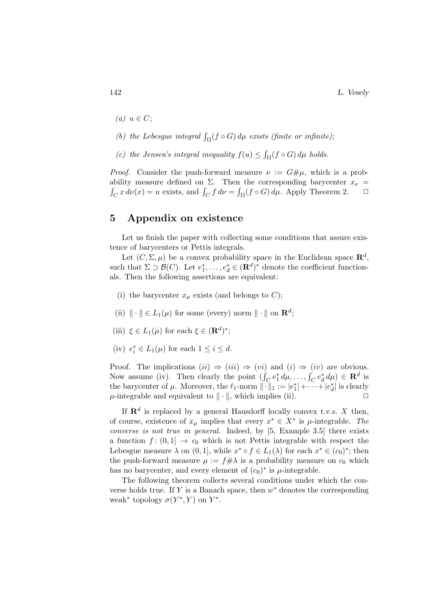142 L. Vesely

- (a)  $u \in C$ :
- (b) the Lebesgue integral  $\int_{\Omega} (f \circ G) d\mu$  exists (finite or infinite);
- (c) the Jensen's integral inequality  $f(u) \leq \int_{\Omega} (f \circ G) d\mu$  holds.

*Proof.* Consider the push-forward measure  $\nu := G# \mu$ , which is a probability measure defined on  $\Sigma$ . Then the corresponding barycenter  $x_{\nu}$  =  $\int_C x \, d\nu(x) = u$  exists, and  $\int_C f \, d\nu = \int_{\Omega} (f \circ G) \, d\mu$ . Apply Theorem 2.  $\Box$ 

### 5 Appendix on existence

Let us finish the paper with collecting some conditions that assure existence of barycenters or Pettis integrals.

Let  $(C, \Sigma, \mu)$  be a convex probability space in the Euclidean space  $\mathbb{R}^d$ , such that  $\Sigma \supset \mathcal{B}(C)$ . Let  $e_1^*, \ldots, e_d^* \in (\mathbf{R}^d)^*$  denote the coefficient functionals. Then the following assertions are equivalent:

- (i) the barycenter  $x_{\mu}$  exists (and belongs to C);
- (ii)  $\|\cdot\| \in L_1(\mu)$  for some (every) norm  $\|\cdot\|$  on  $\mathbb{R}^d$ ;
- (iii)  $\xi \in L_1(\mu)$  for each  $\xi \in (\mathbf{R}^d)^*$ ;
- (iv)  $e_i^* \in L_1(\mu)$  for each  $1 \leq i \leq d$ .

Proof. The implications  $(ii) \Rightarrow (iii) \Rightarrow (vi)$  and  $(i) \Rightarrow (iv)$  are obvious. Now assume (iv). Then clearly the point  $(\int_C e_1^* d\mu, \dots, \int_C e_d^* d\mu) \in \mathbf{R}^d$  is the barycenter of  $\mu$ . Moreover, the  $\ell_1$ -norm  $\|\cdot\|_1 := |e_1^*| + \cdots + |e_d^*|$  is clearly  $\mu$ -integrable and equivalent to  $\|\cdot\|$ , which implies (ii).  $\Box$ 

If  $\mathbf{R}^d$  is replaced by a general Hausdorff locally convex t.v.s. X then, of course, existence of  $x_{\mu}$  implies that every  $x^* \in X^*$  is  $\mu$ -integrable. The converse is not true in general. Indeed, by [5, Example 3.5] there exists a function  $f: (0,1] \rightarrow c_0$  which is not Pettis integrable with respect the Lebesgue measure  $\lambda$  on  $(0, 1]$ , while  $x^* \circ f \in L_1(\lambda)$  for each  $x^* \in (c_0)^*$ ; then the push-forward measure  $\mu := f \# \lambda$  is a probability measure on  $c_0$  which has no barycenter, and every element of  $(c_0)^*$  is  $\mu$ -integrable.

The following theorem collects several conditions under which the converse holds true. If Y is a Banach space, then  $w^*$  denotes the corresponding weak<sup>\*</sup> topology  $\sigma(Y^*, Y)$  on  $Y^*$ .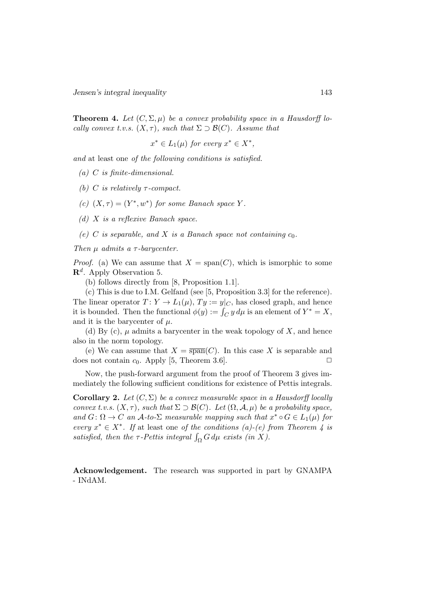Jensen's integral inequality 143

**Theorem 4.** Let  $(C, \Sigma, \mu)$  be a convex probability space in a Hausdorff locally convex t.v.s.  $(X, \tau)$ , such that  $\Sigma \supset \mathcal{B}(C)$ . Assume that

$$
x^* \in L_1(\mu) \text{ for every } x^* \in X^*,
$$

and at least one of the following conditions is satisfied.

(a) C is finite-dimensional.

(b) C is relatively  $\tau$ -compact.

(c)  $(X, \tau) = (Y^*, w^*)$  for some Banach space Y.

(d) X is a reflexive Banach space.

(e) C is separable, and X is a Banach space not containing  $c_0$ .

Then  $\mu$  admits a  $\tau$ -barycenter.

*Proof.* (a) We can assume that  $X = \text{span}(C)$ , which is ismorphic to some  $\mathbf{R}^d$ . Apply Observation 5.

(b) follows directly from [8, Proposition 1.1].

(c) This is due to I.M. Gelfand (see [5, Proposition 3.3] for the reference). The linear operator  $T: Y \to L_1(\mu), Ty := y|_C$ , has closed graph, and hence it is bounded. Then the functional  $\phi(y) := \int_C y d\mu$  is an element of  $Y^* = X$ , and it is the barycenter of  $\mu$ .

(d) By (c),  $\mu$  admits a barycenter in the weak topology of X, and hence also in the norm topology.

(e) We can assume that  $X = \overline{\text{span}}(C)$ . In this case X is separable and does not contain  $c_0$ . Apply [5, Theorem 3.6].

Now, the push-forward argument from the proof of Theorem 3 gives immediately the following sufficient conditions for existence of Pettis integrals.

**Corollary 2.** Let  $(C, \Sigma)$  be a convex measurable space in a Hausdorff locally convex t.v.s.  $(X, \tau)$ , such that  $\Sigma \supset \mathcal{B}(C)$ . Let  $(\Omega, \mathcal{A}, \mu)$  be a probability space, and  $G: \Omega \to C$  an  $\mathcal{A}$ -to- $\Sigma$  measurable mapping such that  $x^* \circ G \in L_1(\mu)$  for every  $x^* \in X^*$ . If at least one of the conditions (a)-(e) from Theorem 4 is satisfied, then the  $\tau$ -Pettis integral  $\int_{\Omega} G d\mu$  exists (in X).

Acknowledgement. The research was supported in part by GNAMPA - INdAM.